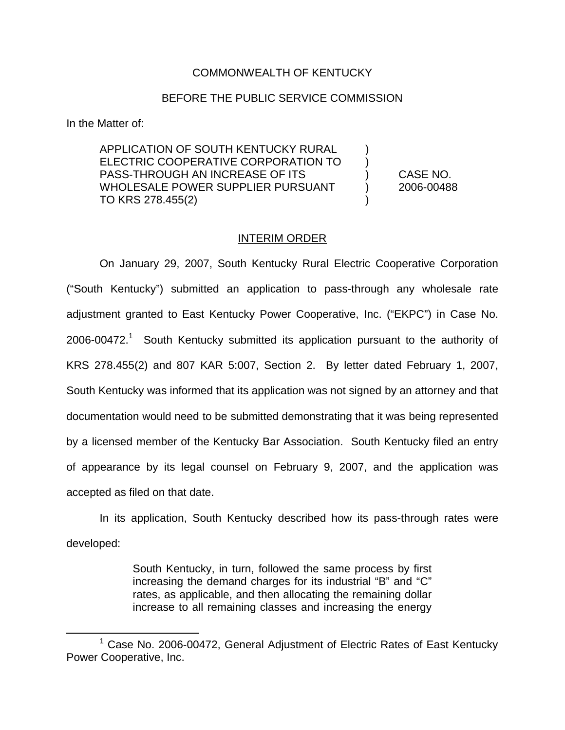## COMMONWEALTH OF KENTUCKY

## BEFORE THE PUBLIC SERVICE COMMISSION

In the Matter of:

APPLICATION OF SOUTH KENTUCKY RURAL ELECTRIC COOPERATIVE CORPORATION TO ) PASS-THROUGH AN INCREASE OF ITS ) CASE NO. WHOLESALE POWER SUPPLIER PURSUANT (2006-00488) TO KRS 278.455(2) )

## INTERIM ORDER

On January 29, 2007, South Kentucky Rural Electric Cooperative Corporation ("South Kentucky") submitted an application to pass-through any wholesale rate adjustment granted to East Kentucky Power Cooperative, Inc. ("EKPC") in Case No.  $2006\t-00472<sup>1</sup>$  South Kentucky submitted its application pursuant to the authority of KRS 278.455(2) and 807 KAR 5:007, Section 2. By letter dated February 1, 2007, South Kentucky was informed that its application was not signed by an attorney and that documentation would need to be submitted demonstrating that it was being represented by a licensed member of the Kentucky Bar Association. South Kentucky filed an entry of appearance by its legal counsel on February 9, 2007, and the application was accepted as filed on that date.

In its application, South Kentucky described how its pass-through rates were developed:

> South Kentucky, in turn, followed the same process by first increasing the demand charges for its industrial "B" and "C" rates, as applicable, and then allocating the remaining dollar increase to all remaining classes and increasing the energy

 $1$  Case No. 2006-00472, General Adjustment of Electric Rates of East Kentucky Power Cooperative, Inc.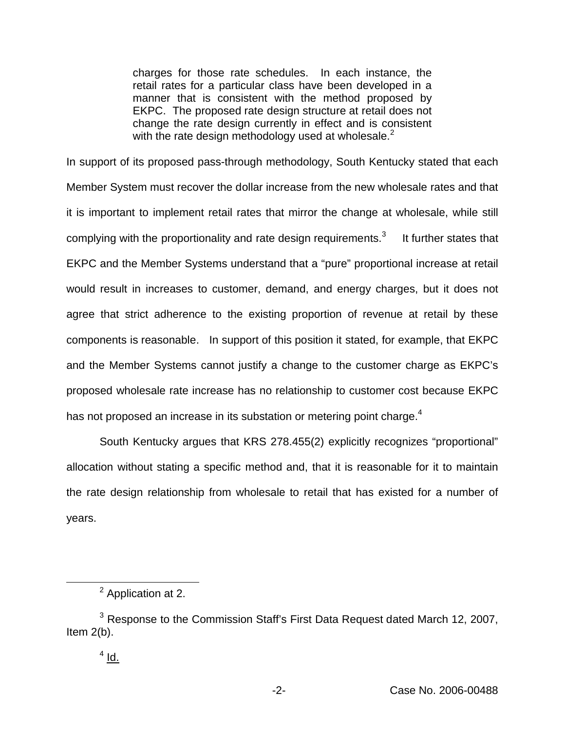charges for those rate schedules. In each instance, the retail rates for a particular class have been developed in a manner that is consistent with the method proposed by EKPC. The proposed rate design structure at retail does not change the rate design currently in effect and is consistent with the rate design methodology used at wholesale. $<sup>2</sup>$ </sup>

In support of its proposed pass-through methodology, South Kentucky stated that each Member System must recover the dollar increase from the new wholesale rates and that it is important to implement retail rates that mirror the change at wholesale, while still complying with the proportionality and rate design requirements. $3$  It further states that EKPC and the Member Systems understand that a "pure" proportional increase at retail would result in increases to customer, demand, and energy charges, but it does not agree that strict adherence to the existing proportion of revenue at retail by these components is reasonable. In support of this position it stated, for example, that EKPC and the Member Systems cannot justify a change to the customer charge as EKPC's proposed wholesale rate increase has no relationship to customer cost because EKPC has not proposed an increase in its substation or metering point charge.<sup>4</sup>

South Kentucky argues that KRS 278.455(2) explicitly recognizes "proportional" allocation without stating a specific method and, that it is reasonable for it to maintain the rate design relationship from wholesale to retail that has existed for a number of years.

<sup>2</sup> Application at 2.

<sup>&</sup>lt;sup>3</sup> Response to the Commission Staff's First Data Request dated March 12, 2007, Item 2(b).

 $4$  Id.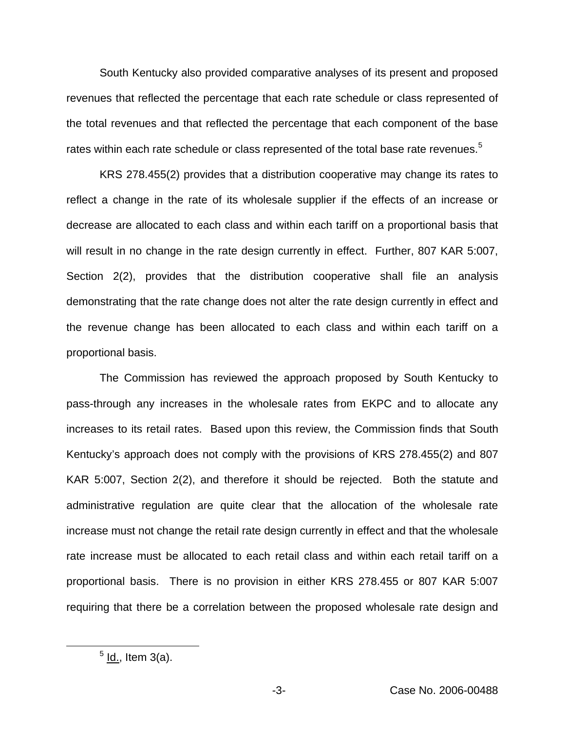South Kentucky also provided comparative analyses of its present and proposed revenues that reflected the percentage that each rate schedule or class represented of the total revenues and that reflected the percentage that each component of the base rates within each rate schedule or class represented of the total base rate revenues.<sup>5</sup>

KRS 278.455(2) provides that a distribution cooperative may change its rates to reflect a change in the rate of its wholesale supplier if the effects of an increase or decrease are allocated to each class and within each tariff on a proportional basis that will result in no change in the rate design currently in effect. Further, 807 KAR 5:007, Section 2(2), provides that the distribution cooperative shall file an analysis demonstrating that the rate change does not alter the rate design currently in effect and the revenue change has been allocated to each class and within each tariff on a proportional basis.

The Commission has reviewed the approach proposed by South Kentucky to pass-through any increases in the wholesale rates from EKPC and to allocate any increases to its retail rates. Based upon this review, the Commission finds that South Kentucky's approach does not comply with the provisions of KRS 278.455(2) and 807 KAR 5:007, Section 2(2), and therefore it should be rejected. Both the statute and administrative regulation are quite clear that the allocation of the wholesale rate increase must not change the retail rate design currently in effect and that the wholesale rate increase must be allocated to each retail class and within each retail tariff on a proportional basis. There is no provision in either KRS 278.455 or 807 KAR 5:007 requiring that there be a correlation between the proposed wholesale rate design and

 $<sup>5</sup>$  ld., Item 3(a).</sup>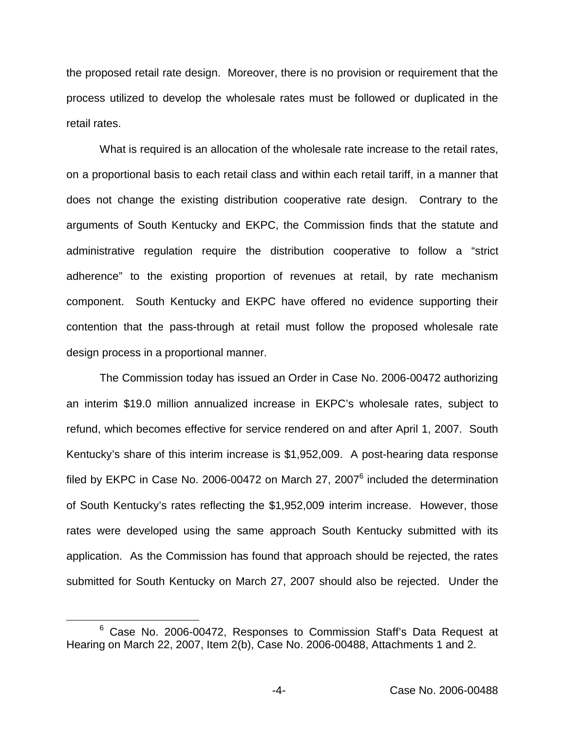the proposed retail rate design. Moreover, there is no provision or requirement that the process utilized to develop the wholesale rates must be followed or duplicated in the retail rates.

What is required is an allocation of the wholesale rate increase to the retail rates, on a proportional basis to each retail class and within each retail tariff, in a manner that does not change the existing distribution cooperative rate design. Contrary to the arguments of South Kentucky and EKPC, the Commission finds that the statute and administrative regulation require the distribution cooperative to follow a "strict adherence" to the existing proportion of revenues at retail, by rate mechanism component. South Kentucky and EKPC have offered no evidence supporting their contention that the pass-through at retail must follow the proposed wholesale rate design process in a proportional manner.

The Commission today has issued an Order in Case No. 2006-00472 authorizing an interim \$19.0 million annualized increase in EKPC's wholesale rates, subject to refund, which becomes effective for service rendered on and after April 1, 2007. South Kentucky's share of this interim increase is \$1,952,009. A post-hearing data response filed by EKPC in Case No. 2006-00472 on March 27, 2007 $^6$  included the determination of South Kentucky's rates reflecting the \$1,952,009 interim increase. However, those rates were developed using the same approach South Kentucky submitted with its application. As the Commission has found that approach should be rejected, the rates submitted for South Kentucky on March 27, 2007 should also be rejected. Under the

<sup>6</sup> Case No. 2006-00472, Responses to Commission Staff's Data Request at Hearing on March 22, 2007, Item 2(b), Case No. 2006-00488, Attachments 1 and 2.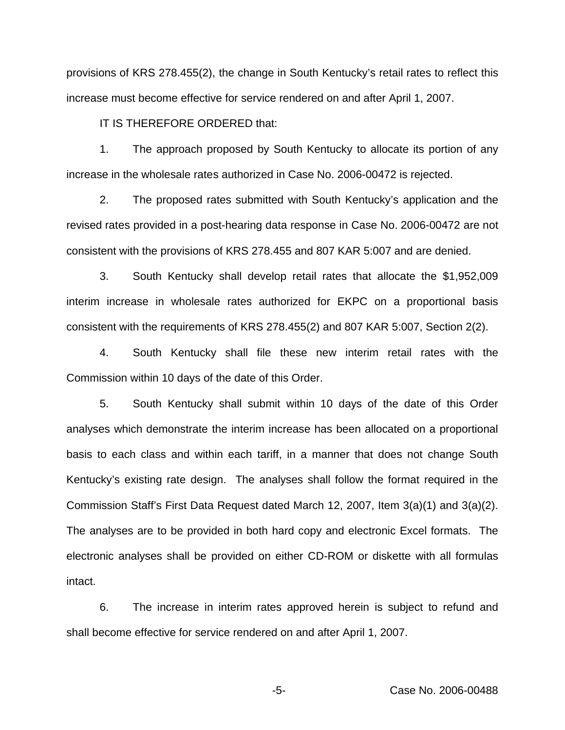provisions of KRS 278.455(2), the change in South Kentucky's retail rates to reflect this increase must become effective for service rendered on and after April 1, 2007.

IT IS THEREFORE ORDERED that:

1. The approach proposed by South Kentucky to allocate its portion of any increase in the wholesale rates authorized in Case No. 2006-00472 is rejected.

2. The proposed rates submitted with South Kentucky's application and the revised rates provided in a post-hearing data response in Case No. 2006-00472 are not consistent with the provisions of KRS 278.455 and 807 KAR 5:007 and are denied.

3. South Kentucky shall develop retail rates that allocate the \$1,952,009 interim increase in wholesale rates authorized for EKPC on a proportional basis consistent with the requirements of KRS 278.455(2) and 807 KAR 5:007, Section 2(2).

4. South Kentucky shall file these new interim retail rates with the Commission within 10 days of the date of this Order.

5. South Kentucky shall submit within 10 days of the date of this Order analyses which demonstrate the interim increase has been allocated on a proportional basis to each class and within each tariff, in a manner that does not change South Kentucky's existing rate design. The analyses shall follow the format required in the Commission Staff's First Data Request dated March 12, 2007, Item 3(a)(1) and 3(a)(2). The analyses are to be provided in both hard copy and electronic Excel formats. The electronic analyses shall be provided on either CD-ROM or diskette with all formulas intact.

6. The increase in interim rates approved herein is subject to refund and shall become effective for service rendered on and after April 1, 2007.